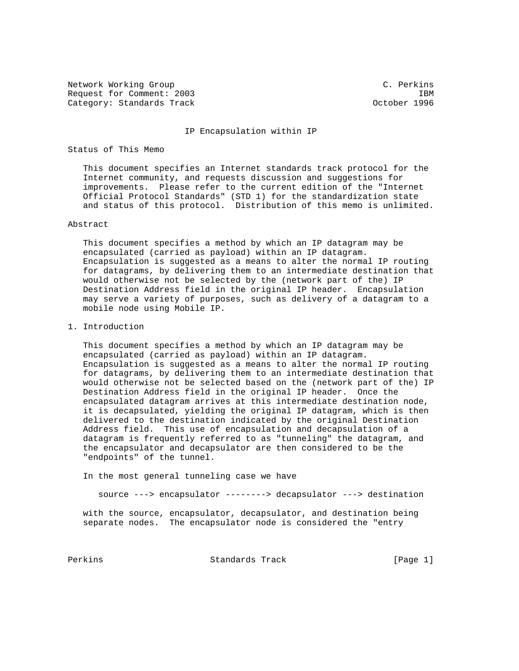Network Working Group C. Perkins Request for Comment: 2003 **IBM** Category: Standards Track Category: Standards Track Category: October 1996

#### IP Encapsulation within IP

## Status of This Memo

 This document specifies an Internet standards track protocol for the Internet community, and requests discussion and suggestions for improvements. Please refer to the current edition of the "Internet Official Protocol Standards" (STD 1) for the standardization state and status of this protocol. Distribution of this memo is unlimited.

## Abstract

 This document specifies a method by which an IP datagram may be encapsulated (carried as payload) within an IP datagram. Encapsulation is suggested as a means to alter the normal IP routing for datagrams, by delivering them to an intermediate destination that would otherwise not be selected by the (network part of the) IP Destination Address field in the original IP header. Encapsulation may serve a variety of purposes, such as delivery of a datagram to a mobile node using Mobile IP.

1. Introduction

 This document specifies a method by which an IP datagram may be encapsulated (carried as payload) within an IP datagram. Encapsulation is suggested as a means to alter the normal IP routing for datagrams, by delivering them to an intermediate destination that would otherwise not be selected based on the (network part of the) IP Destination Address field in the original IP header. Once the encapsulated datagram arrives at this intermediate destination node, it is decapsulated, yielding the original IP datagram, which is then delivered to the destination indicated by the original Destination Address field. This use of encapsulation and decapsulation of a datagram is frequently referred to as "tunneling" the datagram, and the encapsulator and decapsulator are then considered to be the "endpoints" of the tunnel.

In the most general tunneling case we have

source ---> encapsulator --------> decapsulator ---> destination

 with the source, encapsulator, decapsulator, and destination being separate nodes. The encapsulator node is considered the "entry

Perkins **Example 2** Standards Track [Page 1]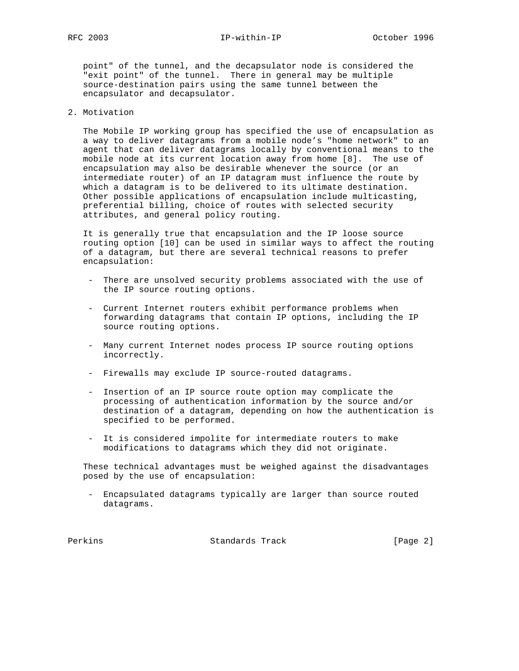point" of the tunnel, and the decapsulator node is considered the "exit point" of the tunnel. There in general may be multiple source-destination pairs using the same tunnel between the encapsulator and decapsulator.

# 2. Motivation

 The Mobile IP working group has specified the use of encapsulation as a way to deliver datagrams from a mobile node's "home network" to an agent that can deliver datagrams locally by conventional means to the mobile node at its current location away from home [8]. The use of encapsulation may also be desirable whenever the source (or an intermediate router) of an IP datagram must influence the route by which a datagram is to be delivered to its ultimate destination. Other possible applications of encapsulation include multicasting, preferential billing, choice of routes with selected security attributes, and general policy routing.

 It is generally true that encapsulation and the IP loose source routing option [10] can be used in similar ways to affect the routing of a datagram, but there are several technical reasons to prefer encapsulation:

- There are unsolved security problems associated with the use of the IP source routing options.
- Current Internet routers exhibit performance problems when forwarding datagrams that contain IP options, including the IP source routing options.
- Many current Internet nodes process IP source routing options incorrectly.
- Firewalls may exclude IP source-routed datagrams.
- Insertion of an IP source route option may complicate the processing of authentication information by the source and/or destination of a datagram, depending on how the authentication is specified to be performed.
- It is considered impolite for intermediate routers to make modifications to datagrams which they did not originate.

 These technical advantages must be weighed against the disadvantages posed by the use of encapsulation:

 - Encapsulated datagrams typically are larger than source routed datagrams.

Perkins **Example 2** Standards Track **Frack** [Page 2]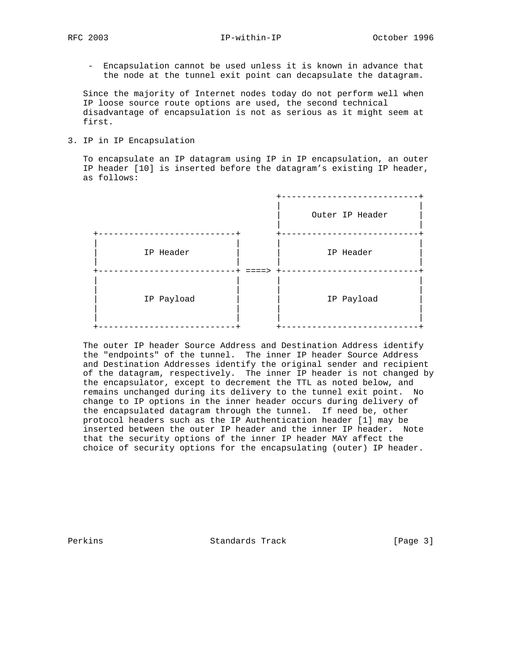RFC 2003 **IP-within-IP** October 1996

 - Encapsulation cannot be used unless it is known in advance that the node at the tunnel exit point can decapsulate the datagram.

 Since the majority of Internet nodes today do not perform well when IP loose source route options are used, the second technical disadvantage of encapsulation is not as serious as it might seem at first.

3. IP in IP Encapsulation

 To encapsulate an IP datagram using IP in IP encapsulation, an outer IP header [10] is inserted before the datagram's existing IP header, as follows:

|            | Outer IP Header |
|------------|-----------------|
| IP Header  | IP Header       |
| IP Payload | IP Payload      |

 The outer IP header Source Address and Destination Address identify the "endpoints" of the tunnel. The inner IP header Source Address and Destination Addresses identify the original sender and recipient of the datagram, respectively. The inner IP header is not changed by the encapsulator, except to decrement the TTL as noted below, and remains unchanged during its delivery to the tunnel exit point. No change to IP options in the inner header occurs during delivery of the encapsulated datagram through the tunnel. If need be, other protocol headers such as the IP Authentication header [1] may be inserted between the outer IP header and the inner IP header. Note that the security options of the inner IP header MAY affect the choice of security options for the encapsulating (outer) IP header.

Perkins **Example 2** Standards Track **Example 2** [Page 3]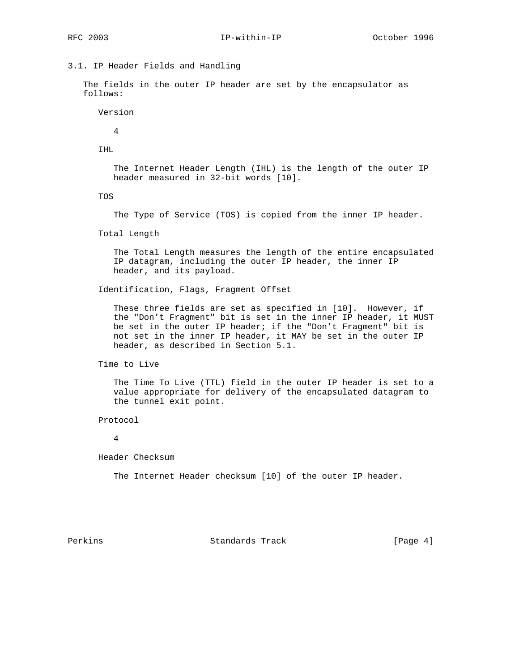# 3.1. IP Header Fields and Handling

 The fields in the outer IP header are set by the encapsulator as follows:

Version

4

IHL

 The Internet Header Length (IHL) is the length of the outer IP header measured in 32-bit words [10].

TOS

The Type of Service (TOS) is copied from the inner IP header.

Total Length

 The Total Length measures the length of the entire encapsulated IP datagram, including the outer IP header, the inner IP header, and its payload.

Identification, Flags, Fragment Offset

 These three fields are set as specified in [10]. However, if the "Don't Fragment" bit is set in the inner IP header, it MUST be set in the outer IP header; if the "Don't Fragment" bit is not set in the inner IP header, it MAY be set in the outer IP header, as described in Section 5.1.

Time to Live

 The Time To Live (TTL) field in the outer IP header is set to a value appropriate for delivery of the encapsulated datagram to the tunnel exit point.

Protocol

4

Header Checksum

The Internet Header checksum [10] of the outer IP header.

Perkins **Example 2** Standards Track **Frack** [Page 4]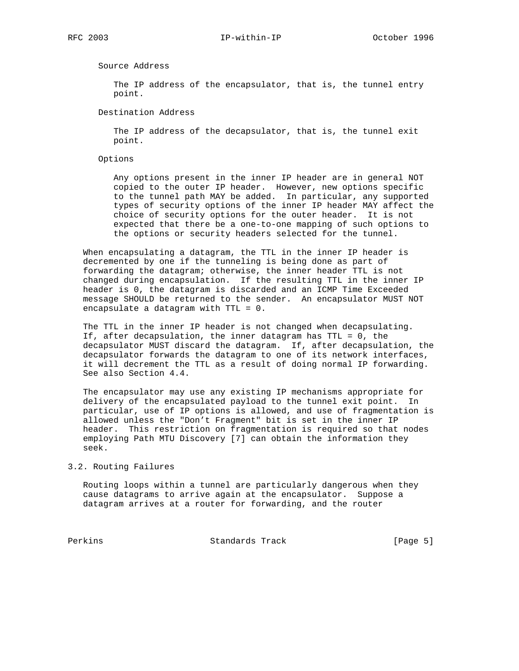Source Address

 The IP address of the encapsulator, that is, the tunnel entry point.

Destination Address

 The IP address of the decapsulator, that is, the tunnel exit point.

Options

 Any options present in the inner IP header are in general NOT copied to the outer IP header. However, new options specific to the tunnel path MAY be added. In particular, any supported types of security options of the inner IP header MAY affect the choice of security options for the outer header. It is not expected that there be a one-to-one mapping of such options to the options or security headers selected for the tunnel.

 When encapsulating a datagram, the TTL in the inner IP header is decremented by one if the tunneling is being done as part of forwarding the datagram; otherwise, the inner header TTL is not changed during encapsulation. If the resulting TTL in the inner IP header is 0, the datagram is discarded and an ICMP Time Exceeded message SHOULD be returned to the sender. An encapsulator MUST NOT encapsulate a datagram with TTL = 0.

 The TTL in the inner IP header is not changed when decapsulating. If, after decapsulation, the inner datagram has TTL = 0, the decapsulator MUST discard the datagram. If, after decapsulation, the decapsulator forwards the datagram to one of its network interfaces, it will decrement the TTL as a result of doing normal IP forwarding. See also Section 4.4.

 The encapsulator may use any existing IP mechanisms appropriate for delivery of the encapsulated payload to the tunnel exit point. In particular, use of IP options is allowed, and use of fragmentation is allowed unless the "Don't Fragment" bit is set in the inner IP header. This restriction on fragmentation is required so that nodes employing Path MTU Discovery [7] can obtain the information they seek.

3.2. Routing Failures

 Routing loops within a tunnel are particularly dangerous when they cause datagrams to arrive again at the encapsulator. Suppose a datagram arrives at a router for forwarding, and the router

Perkins **Example 2** Standards Track [Page 5]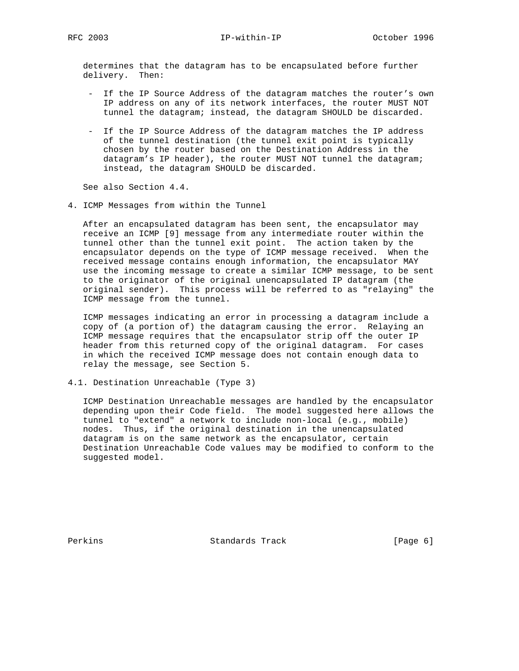RFC 2003 IP-within-IP October 1996

 determines that the datagram has to be encapsulated before further delivery. Then:

- If the IP Source Address of the datagram matches the router's own IP address on any of its network interfaces, the router MUST NOT tunnel the datagram; instead, the datagram SHOULD be discarded.
- If the IP Source Address of the datagram matches the IP address of the tunnel destination (the tunnel exit point is typically chosen by the router based on the Destination Address in the datagram's IP header), the router MUST NOT tunnel the datagram; instead, the datagram SHOULD be discarded.

See also Section 4.4.

4. ICMP Messages from within the Tunnel

 After an encapsulated datagram has been sent, the encapsulator may receive an ICMP [9] message from any intermediate router within the tunnel other than the tunnel exit point. The action taken by the encapsulator depends on the type of ICMP message received. When the received message contains enough information, the encapsulator MAY use the incoming message to create a similar ICMP message, to be sent to the originator of the original unencapsulated IP datagram (the original sender). This process will be referred to as "relaying" the ICMP message from the tunnel.

 ICMP messages indicating an error in processing a datagram include a copy of (a portion of) the datagram causing the error. Relaying an ICMP message requires that the encapsulator strip off the outer IP header from this returned copy of the original datagram. For cases in which the received ICMP message does not contain enough data to relay the message, see Section 5.

4.1. Destination Unreachable (Type 3)

 ICMP Destination Unreachable messages are handled by the encapsulator depending upon their Code field. The model suggested here allows the tunnel to "extend" a network to include non-local (e.g., mobile) nodes. Thus, if the original destination in the unencapsulated datagram is on the same network as the encapsulator, certain Destination Unreachable Code values may be modified to conform to the suggested model.

Perkins **Example 2** Standards Track **Frack** [Page 6]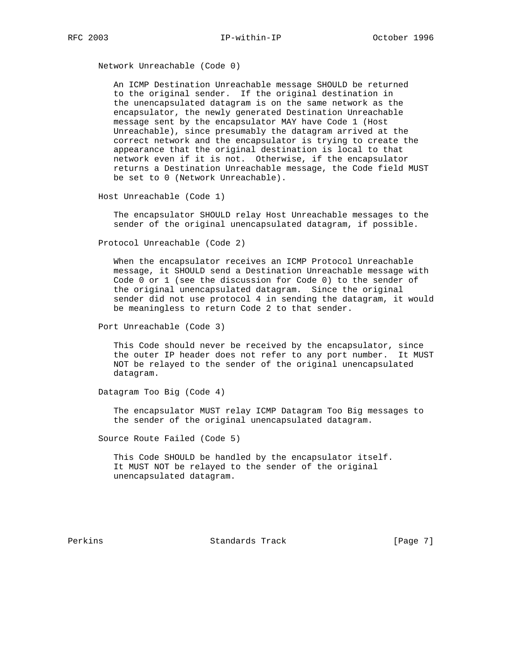Network Unreachable (Code 0)

 An ICMP Destination Unreachable message SHOULD be returned to the original sender. If the original destination in the unencapsulated datagram is on the same network as the encapsulator, the newly generated Destination Unreachable message sent by the encapsulator MAY have Code 1 (Host Unreachable), since presumably the datagram arrived at the correct network and the encapsulator is trying to create the appearance that the original destination is local to that network even if it is not. Otherwise, if the encapsulator returns a Destination Unreachable message, the Code field MUST be set to 0 (Network Unreachable).

Host Unreachable (Code 1)

 The encapsulator SHOULD relay Host Unreachable messages to the sender of the original unencapsulated datagram, if possible.

Protocol Unreachable (Code 2)

 When the encapsulator receives an ICMP Protocol Unreachable message, it SHOULD send a Destination Unreachable message with Code 0 or 1 (see the discussion for Code 0) to the sender of the original unencapsulated datagram. Since the original sender did not use protocol 4 in sending the datagram, it would be meaningless to return Code 2 to that sender.

Port Unreachable (Code 3)

 This Code should never be received by the encapsulator, since the outer IP header does not refer to any port number. It MUST NOT be relayed to the sender of the original unencapsulated datagram.

Datagram Too Big (Code 4)

 The encapsulator MUST relay ICMP Datagram Too Big messages to the sender of the original unencapsulated datagram.

Source Route Failed (Code 5)

 This Code SHOULD be handled by the encapsulator itself. It MUST NOT be relayed to the sender of the original unencapsulated datagram.

Perkins **Example 2** Standards Track **Frack** [Page 7]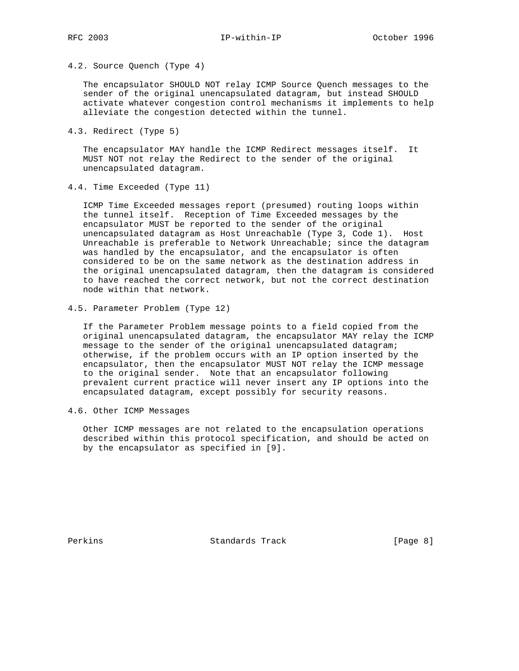4.2. Source Quench (Type 4)

 The encapsulator SHOULD NOT relay ICMP Source Quench messages to the sender of the original unencapsulated datagram, but instead SHOULD activate whatever congestion control mechanisms it implements to help alleviate the congestion detected within the tunnel.

4.3. Redirect (Type 5)

 The encapsulator MAY handle the ICMP Redirect messages itself. It MUST NOT not relay the Redirect to the sender of the original unencapsulated datagram.

4.4. Time Exceeded (Type 11)

 ICMP Time Exceeded messages report (presumed) routing loops within the tunnel itself. Reception of Time Exceeded messages by the encapsulator MUST be reported to the sender of the original unencapsulated datagram as Host Unreachable (Type 3, Code 1). Host Unreachable is preferable to Network Unreachable; since the datagram was handled by the encapsulator, and the encapsulator is often considered to be on the same network as the destination address in the original unencapsulated datagram, then the datagram is considered to have reached the correct network, but not the correct destination node within that network.

4.5. Parameter Problem (Type 12)

 If the Parameter Problem message points to a field copied from the original unencapsulated datagram, the encapsulator MAY relay the ICMP message to the sender of the original unencapsulated datagram; otherwise, if the problem occurs with an IP option inserted by the encapsulator, then the encapsulator MUST NOT relay the ICMP message to the original sender. Note that an encapsulator following prevalent current practice will never insert any IP options into the encapsulated datagram, except possibly for security reasons.

4.6. Other ICMP Messages

 Other ICMP messages are not related to the encapsulation operations described within this protocol specification, and should be acted on by the encapsulator as specified in [9].

Perkins **Example 2** Standards Track **Frack** [Page 8]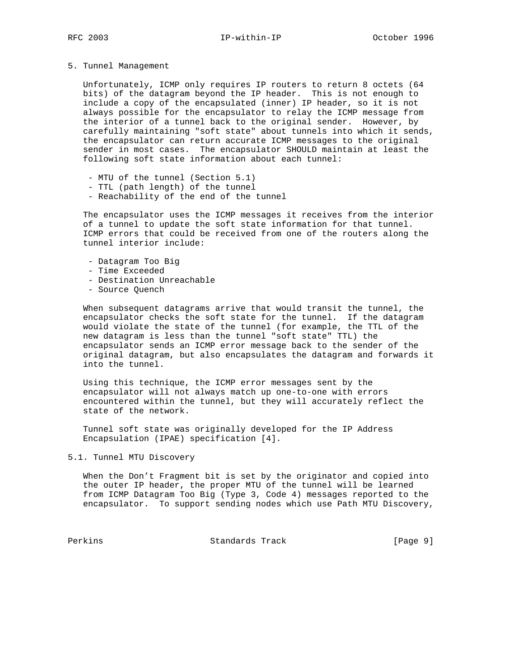#### 5. Tunnel Management

 Unfortunately, ICMP only requires IP routers to return 8 octets (64 bits) of the datagram beyond the IP header. This is not enough to include a copy of the encapsulated (inner) IP header, so it is not always possible for the encapsulator to relay the ICMP message from the interior of a tunnel back to the original sender. However, by carefully maintaining "soft state" about tunnels into which it sends, the encapsulator can return accurate ICMP messages to the original sender in most cases. The encapsulator SHOULD maintain at least the following soft state information about each tunnel:

- MTU of the tunnel (Section 5.1)
- TTL (path length) of the tunnel
- Reachability of the end of the tunnel

 The encapsulator uses the ICMP messages it receives from the interior of a tunnel to update the soft state information for that tunnel. ICMP errors that could be received from one of the routers along the tunnel interior include:

- Datagram Too Big
- Time Exceeded
- Destination Unreachable
- Source Quench

 When subsequent datagrams arrive that would transit the tunnel, the encapsulator checks the soft state for the tunnel. If the datagram would violate the state of the tunnel (for example, the TTL of the new datagram is less than the tunnel "soft state" TTL) the encapsulator sends an ICMP error message back to the sender of the original datagram, but also encapsulates the datagram and forwards it into the tunnel.

 Using this technique, the ICMP error messages sent by the encapsulator will not always match up one-to-one with errors encountered within the tunnel, but they will accurately reflect the state of the network.

 Tunnel soft state was originally developed for the IP Address Encapsulation (IPAE) specification [4].

### 5.1. Tunnel MTU Discovery

 When the Don't Fragment bit is set by the originator and copied into the outer IP header, the proper MTU of the tunnel will be learned from ICMP Datagram Too Big (Type 3, Code 4) messages reported to the encapsulator. To support sending nodes which use Path MTU Discovery,

Perkins **Example 2** Standards Track **Frack** [Page 9]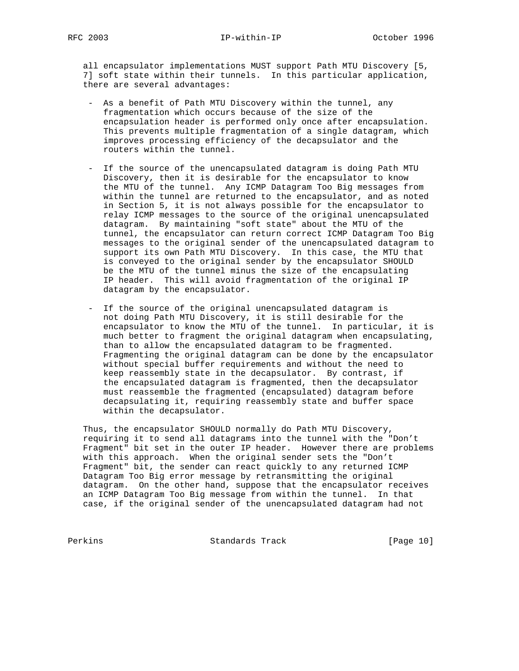all encapsulator implementations MUST support Path MTU Discovery [5, 7] soft state within their tunnels. In this particular application, there are several advantages:

- As a benefit of Path MTU Discovery within the tunnel, any fragmentation which occurs because of the size of the encapsulation header is performed only once after encapsulation. This prevents multiple fragmentation of a single datagram, which improves processing efficiency of the decapsulator and the routers within the tunnel.
- If the source of the unencapsulated datagram is doing Path MTU Discovery, then it is desirable for the encapsulator to know the MTU of the tunnel. Any ICMP Datagram Too Big messages from within the tunnel are returned to the encapsulator, and as noted in Section 5, it is not always possible for the encapsulator to relay ICMP messages to the source of the original unencapsulated datagram. By maintaining "soft state" about the MTU of the tunnel, the encapsulator can return correct ICMP Datagram Too Big messages to the original sender of the unencapsulated datagram to support its own Path MTU Discovery. In this case, the MTU that is conveyed to the original sender by the encapsulator SHOULD be the MTU of the tunnel minus the size of the encapsulating IP header. This will avoid fragmentation of the original IP datagram by the encapsulator.
- If the source of the original unencapsulated datagram is not doing Path MTU Discovery, it is still desirable for the encapsulator to know the MTU of the tunnel. In particular, it is much better to fragment the original datagram when encapsulating, than to allow the encapsulated datagram to be fragmented. Fragmenting the original datagram can be done by the encapsulator without special buffer requirements and without the need to keep reassembly state in the decapsulator. By contrast, if the encapsulated datagram is fragmented, then the decapsulator must reassemble the fragmented (encapsulated) datagram before decapsulating it, requiring reassembly state and buffer space within the decapsulator.

 Thus, the encapsulator SHOULD normally do Path MTU Discovery, requiring it to send all datagrams into the tunnel with the "Don't Fragment" bit set in the outer IP header. However there are problems with this approach. When the original sender sets the "Don't Fragment" bit, the sender can react quickly to any returned ICMP Datagram Too Big error message by retransmitting the original datagram. On the other hand, suppose that the encapsulator receives an ICMP Datagram Too Big message from within the tunnel. In that case, if the original sender of the unencapsulated datagram had not

Perkins Standards Track [Page 10]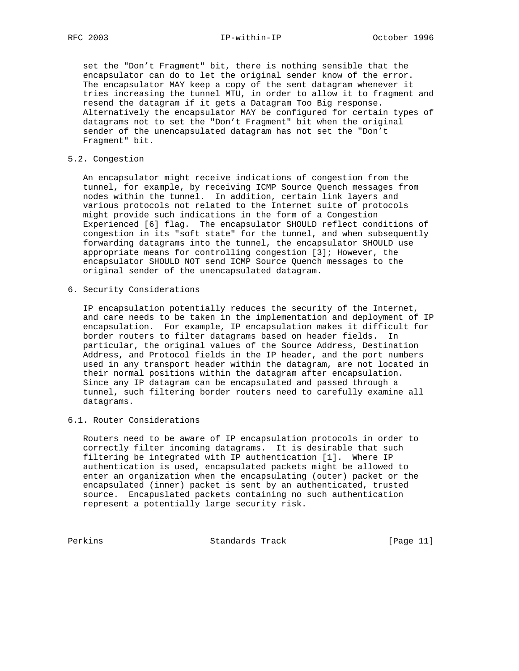set the "Don't Fragment" bit, there is nothing sensible that the encapsulator can do to let the original sender know of the error. The encapsulator MAY keep a copy of the sent datagram whenever it tries increasing the tunnel MTU, in order to allow it to fragment and resend the datagram if it gets a Datagram Too Big response. Alternatively the encapsulator MAY be configured for certain types of datagrams not to set the "Don't Fragment" bit when the original sender of the unencapsulated datagram has not set the "Don't Fragment" bit.

### 5.2. Congestion

 An encapsulator might receive indications of congestion from the tunnel, for example, by receiving ICMP Source Quench messages from nodes within the tunnel. In addition, certain link layers and various protocols not related to the Internet suite of protocols might provide such indications in the form of a Congestion Experienced [6] flag. The encapsulator SHOULD reflect conditions of congestion in its "soft state" for the tunnel, and when subsequently forwarding datagrams into the tunnel, the encapsulator SHOULD use appropriate means for controlling congestion [3]; However, the encapsulator SHOULD NOT send ICMP Source Quench messages to the original sender of the unencapsulated datagram.

6. Security Considerations

 IP encapsulation potentially reduces the security of the Internet, and care needs to be taken in the implementation and deployment of IP encapsulation. For example, IP encapsulation makes it difficult for border routers to filter datagrams based on header fields. In particular, the original values of the Source Address, Destination Address, and Protocol fields in the IP header, and the port numbers used in any transport header within the datagram, are not located in their normal positions within the datagram after encapsulation. Since any IP datagram can be encapsulated and passed through a tunnel, such filtering border routers need to carefully examine all datagrams.

## 6.1. Router Considerations

 Routers need to be aware of IP encapsulation protocols in order to correctly filter incoming datagrams. It is desirable that such filtering be integrated with IP authentication [1]. Where IP authentication is used, encapsulated packets might be allowed to enter an organization when the encapsulating (outer) packet or the encapsulated (inner) packet is sent by an authenticated, trusted source. Encapuslated packets containing no such authentication represent a potentially large security risk.

Perkins **Standards Track** [Page 11]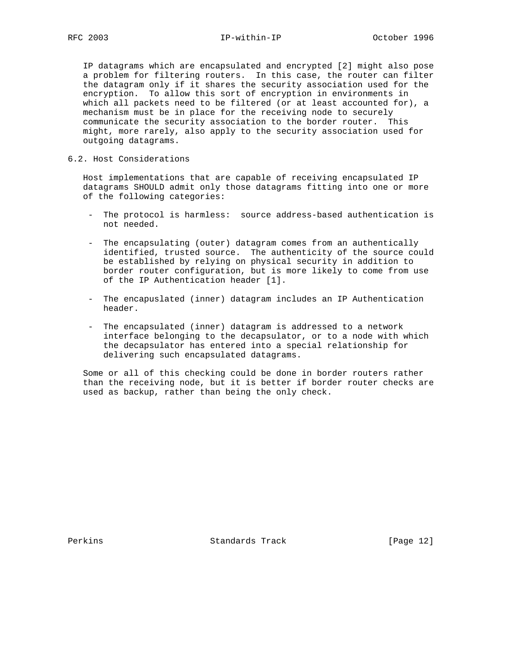IP datagrams which are encapsulated and encrypted [2] might also pose a problem for filtering routers. In this case, the router can filter the datagram only if it shares the security association used for the encryption. To allow this sort of encryption in environments in which all packets need to be filtered (or at least accounted for), a mechanism must be in place for the receiving node to securely communicate the security association to the border router. This might, more rarely, also apply to the security association used for outgoing datagrams.

6.2. Host Considerations

 Host implementations that are capable of receiving encapsulated IP datagrams SHOULD admit only those datagrams fitting into one or more of the following categories:

- The protocol is harmless: source address-based authentication is not needed.
- The encapsulating (outer) datagram comes from an authentically identified, trusted source. The authenticity of the source could be established by relying on physical security in addition to border router configuration, but is more likely to come from use of the IP Authentication header [1].
- The encapuslated (inner) datagram includes an IP Authentication header.
- The encapsulated (inner) datagram is addressed to a network interface belonging to the decapsulator, or to a node with which the decapsulator has entered into a special relationship for delivering such encapsulated datagrams.

 Some or all of this checking could be done in border routers rather than the receiving node, but it is better if border router checks are used as backup, rather than being the only check.

Perkins Standards Track [Page 12]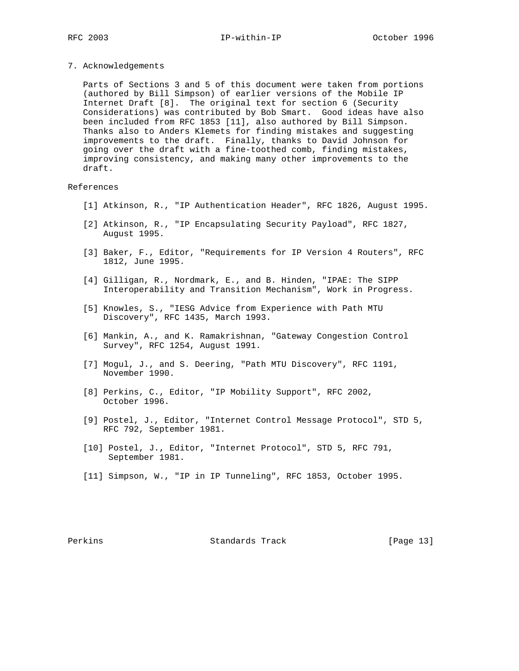7. Acknowledgements

 Parts of Sections 3 and 5 of this document were taken from portions (authored by Bill Simpson) of earlier versions of the Mobile IP Internet Draft [8]. The original text for section 6 (Security Considerations) was contributed by Bob Smart. Good ideas have also been included from RFC 1853 [11], also authored by Bill Simpson. Thanks also to Anders Klemets for finding mistakes and suggesting improvements to the draft. Finally, thanks to David Johnson for going over the draft with a fine-toothed comb, finding mistakes, improving consistency, and making many other improvements to the draft.

#### References

- [1] Atkinson, R., "IP Authentication Header", RFC 1826, August 1995.
- [2] Atkinson, R., "IP Encapsulating Security Payload", RFC 1827, August 1995.
- [3] Baker, F., Editor, "Requirements for IP Version 4 Routers", RFC 1812, June 1995.
- [4] Gilligan, R., Nordmark, E., and B. Hinden, "IPAE: The SIPP Interoperability and Transition Mechanism", Work in Progress.
- [5] Knowles, S., "IESG Advice from Experience with Path MTU Discovery", RFC 1435, March 1993.
- [6] Mankin, A., and K. Ramakrishnan, "Gateway Congestion Control Survey", RFC 1254, August 1991.
- [7] Mogul, J., and S. Deering, "Path MTU Discovery", RFC 1191, November 1990.
- [8] Perkins, C., Editor, "IP Mobility Support", RFC 2002, October 1996.
- [9] Postel, J., Editor, "Internet Control Message Protocol", STD 5, RFC 792, September 1981.
- [10] Postel, J., Editor, "Internet Protocol", STD 5, RFC 791, September 1981.
- [11] Simpson, W., "IP in IP Tunneling", RFC 1853, October 1995.

### Perkins 6 (Page 13) Standards Track [Page 13]